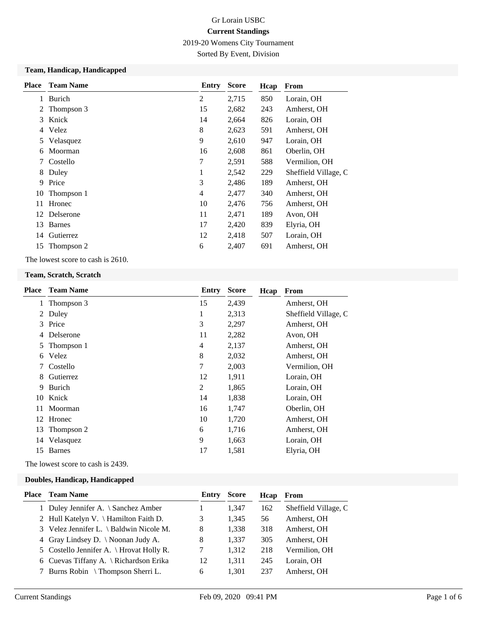2019-20 Womens City Tournament

Sorted By Event, Division

#### **Team, Handicap, Handicapped**

| <b>Place</b> | <b>Team Name</b> | <b>Entry</b>   | <b>Score</b> | Hcap | <b>From</b>          |
|--------------|------------------|----------------|--------------|------|----------------------|
| 1            | Burich           | $\overline{2}$ | 2,715        | 850  | Lorain, OH           |
| 2            | Thompson 3       | 15             | 2,682        | 243  | Amherst, OH          |
| 3            | Knick            | 14             | 2,664        | 826  | Lorain, OH           |
|              | 4 Velez          | 8              | 2,623        | 591  | Amherst, OH          |
| 5            | Velasquez        | 9              | 2,610        | 947  | Lorain, OH           |
| 6            | Moorman          | 16             | 2,608        | 861  | Oberlin, OH          |
| 7            | Costello         | 7              | 2,591        | 588  | Vermilion, OH        |
| 8            | Duley            | 1              | 2,542        | 229  | Sheffield Village, C |
| 9            | Price            | 3              | 2,486        | 189  | Amherst, OH          |
| 10           | Thompson 1       | $\overline{4}$ | 2,477        | 340  | Amherst, OH          |
| 11           | Hronec           | 10             | 2,476        | 756  | Amherst, OH          |
|              | 12 Delserone     | 11             | 2,471        | 189  | Avon, OH             |
| 13           | <b>Barnes</b>    | 17             | 2,420        | 839  | Elyria, OH           |
|              | 14 Gutierrez     | 12             | 2,418        | 507  | Lorain, OH           |
| 15           | Thompson 2       | 6              | 2,407        | 691  | Amherst, OH          |

The lowest score to cash is 2610.

#### **Team, Scratch, Scratch**

| Place | <b>Team Name</b> | Entry  | Score | Hcap | <b>From</b>          |
|-------|------------------|--------|-------|------|----------------------|
| 1     | Thompson 3       | 15     | 2,439 |      | Amherst, OH          |
|       | 2 Duley          | 1      | 2,313 |      | Sheffield Village, C |
| 3     | Price            | 3      | 2,297 |      | Amherst, OH          |
| 4     | Delserone        | 11     | 2,282 |      | Avon, OH             |
| 5     | Thompson 1       | 4      | 2,137 |      | Amherst, OH          |
| 6     | Velez            | 8      | 2,032 |      | Amherst, OH          |
| 7     | Costello         | $\tau$ | 2,003 |      | Vermilion, OH        |
| 8     | Gutierrez        | 12     | 1,911 |      | Lorain, OH           |
| 9     | Burich           | 2      | 1,865 |      | Lorain, OH           |
| 10    | Knick            | 14     | 1,838 |      | Lorain, OH           |
| 11    | Moorman          | 16     | 1,747 |      | Oberlin, OH          |
| 12    | Hronec           | 10     | 1,720 |      | Amherst, OH          |
| 13    | Thompson 2       | 6      | 1,716 |      | Amherst, OH          |
| 14    | Velasquez        | 9      | 1,663 |      | Lorain, OH           |
| 15    | <b>Barnes</b>    | 17     | 1,581 |      | Elyria, OH           |
|       |                  |        |       |      |                      |

The lowest score to cash is 2439.

#### **Doubles, Handicap, Handicapped**

| Place | <b>Team Name</b>                         | Entry | <b>Score</b> | Hcap | From                 |
|-------|------------------------------------------|-------|--------------|------|----------------------|
|       | 1 Duley Jennifer A. \ Sanchez Amber      |       | 1.347        | 162  | Sheffield Village, C |
|       | 2 Hull Katelyn V. \ Hamilton Faith D.    | 3     | 1,345        | 56   | Amherst, OH          |
|       | 3 Velez Jennifer L. \ Baldwin Nicole M.  | 8     | 1,338        | 318  | Amherst, OH          |
|       | 4 Gray Lindsey D. \ Noonan Judy A.       | 8     | 1,337        | 305  | Amherst, OH          |
|       | 5 Costello Jennifer A. \ Hrovat Holly R. |       | 1,312        | 218  | Vermilion, OH        |
|       | 6 Cuevas Tiffany A. \ Richardson Erika   | 12    | 1,311        | 245  | Lorain, OH           |
|       | 7 Burns Robin \ Thompson Sherri L.       | 6     | 1,301        | 237  | Amherst, OH          |
|       |                                          |       |              |      |                      |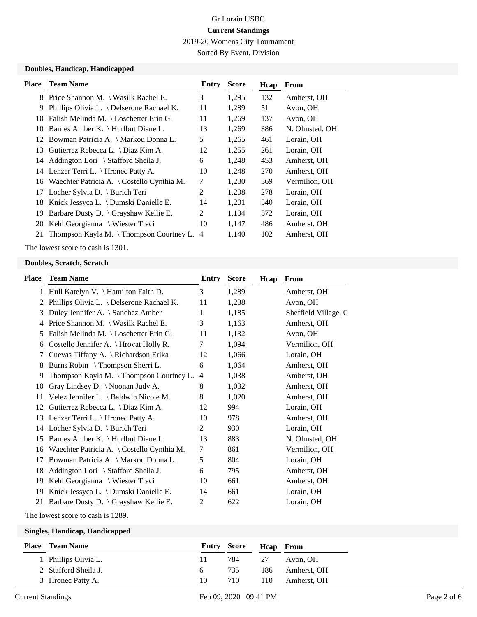2019-20 Womens City Tournament

Sorted By Event, Division

### **Doubles, Handicap, Handicapped**

| <b>Place</b> | <b>Team Name</b>                              | Entry          | <b>Score</b> | Hcap | From           |
|--------------|-----------------------------------------------|----------------|--------------|------|----------------|
| 8            | Price Shannon M. \ Wasilk Rachel E.           | 3              | 1,295        | 132  | Amherst, OH    |
| 9            | Phillips Olivia L. \ Delserone Rachael K.     | 11             | 1,289        | 51   | Avon, OH       |
| 10           | Falish Melinda M. \ Loschetter Erin G.        | 11             | 1,269        | 137  | Avon, OH       |
| 10           | Barnes Amber K. \ Hurlbut Diane L.            | 13             | 1,269        | 386  | N. Olmsted, OH |
| 12           | Bowman Patricia A. \ Markou Donna L.          | 5              | 1,265        | 461  | Lorain, OH     |
| 13           | Gutierrez Rebecca L. \ Diaz Kim A.            | 12             | 1,255        | 261  | Lorain, OH     |
|              | 14 Addington Lori \ Stafford Sheila J.        | 6              | 1,248        | 453  | Amherst, OH    |
|              | 14 Lenzer Terri L. \ Hronec Patty A.          | 10             | 1,248        | 270  | Amherst, OH    |
|              | 16 Waechter Patricia A. \ Costello Cynthia M. | 7              | 1,230        | 369  | Vermilion, OH  |
| 17           | Locher Sylvia D. $\langle$ Burich Teri        | 2              | 1,208        | 278  | Lorain, OH     |
| 18           | Knick Jessyca L. \ Dumski Danielle E.         | 14             | 1,201        | 540  | Lorain, OH     |
| 19           | Barbare Dusty D. \ Grayshaw Kellie E.         | 2              | 1,194        | 572  | Lorain, OH     |
| 20           | Kehl Georgianna \ Wiester Traci               | 10             | 1,147        | 486  | Amherst, OH    |
| 21           | Thompson Kayla M. $\{$ Thompson Courtney L.   | $\overline{4}$ | 1,140        | 102  | Amherst, OH    |

The lowest score to cash is 1301.

#### **Doubles, Scratch, Scratch**

| Place | <b>Team Name</b>                                | Entry          | <b>Score</b> | Hcap | From                 |
|-------|-------------------------------------------------|----------------|--------------|------|----------------------|
| 1     | Hull Katelyn V. $\{$ Hamilton Faith D.          | 3              | 1,289        |      | Amherst, OH          |
| 2     | Phillips Olivia L. \ Delserone Rachael K.       | 11             | 1,238        |      | Avon, OH             |
| 3     | Duley Jennifer A. \ Sanchez Amber               | 1              | 1,185        |      | Sheffield Village, C |
| 4     | Price Shannon M. \ Wasilk Rachel E.             | 3              | 1,163        |      | Amherst, OH          |
| 5     | Falish Melinda M. \ Loschetter Erin G.          | 11             | 1,132        |      | Avon, OH             |
| 6     | Costello Jennifer A. $\langle$ Hrovat Holly R.  | 7              | 1,094        |      | Vermilion, OH        |
| 7     | Cuevas Tiffany A. \ Richardson Erika            | 12             | 1,066        |      | Lorain, OH           |
| 8     | Burns Robin \ Thompson Sherri L.                | 6              | 1,064        |      | Amherst, OH          |
| 9     | Thompson Kayla M. $\{$ Thompson Courtney L.     | $\overline{4}$ | 1,038        |      | Amherst, OH          |
| 10    | Gray Lindsey D. \ Noonan Judy A.                | 8              | 1,032        |      | Amherst, OH          |
| 11    | Velez Jennifer L. $\setminus$ Baldwin Nicole M. | 8              | 1,020        |      | Amherst, OH          |
| 12    | Gutierrez Rebecca L. \ Diaz Kim A.              | 12             | 994          |      | Lorain, OH           |
| 13    | Lenzer Terri L. $\langle$ Hronec Patty A.       | 10             | 978          |      | Amherst, OH          |
| 14    | Locher Sylvia D. \ Burich Teri                  | 2              | 930          |      | Lorain, OH           |
| 15    | Barnes Amber K. \ Hurlbut Diane L.              | 13             | 883          |      | N. Olmsted, OH       |
| 16    | Waechter Patricia A. \ Costello Cynthia M.      | 7              | 861          |      | Vermilion, OH        |
| 17    | Bowman Patricia A. \ Markou Donna L.            | 5              | 804          |      | Lorain, OH           |
| 18    | Addington Lori \ Stafford Sheila J.             | 6              | 795          |      | Amherst, OH          |
| 19    | Kehl Georgianna \ Wiester Traci                 | 10             | 661          |      | Amherst, OH          |
| 19    | Knick Jessyca L. \ Dumski Danielle E.           | 14             | 661          |      | Lorain, OH           |
| 21    | Barbare Dusty D. \ Grayshaw Kellie E.           | 2              | 622          |      | Lorain, OH           |
|       |                                                 |                |              |      |                      |

The lowest score to cash is 1289.

#### **Singles, Handicap, Handicapped**

| <b>Place</b> Team Name |     | <b>Entry Score</b> | <b>Heap</b> From |             |
|------------------------|-----|--------------------|------------------|-------------|
| 1 Phillips Olivia L.   | 11. | 784                | -27              | Avon, OH    |
| 2 Stafford Sheila J.   | 6   | 735                | 186              | Amherst, OH |
| 3 Hronec Patty A.      | 10  | 710                | 110              | Amherst, OH |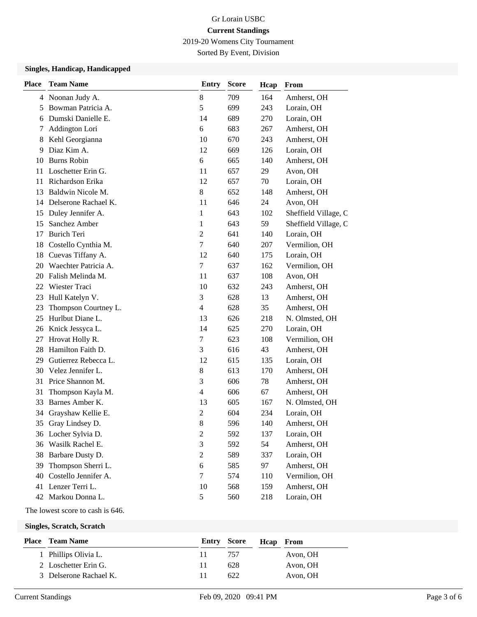2019-20 Womens City Tournament

Sorted By Event, Division

### **Singles, Handicap, Handicapped**

| <b>Place</b> | <b>Team Name</b>     | <b>Entry</b>     | <b>Score</b> | Hcap | From                 |
|--------------|----------------------|------------------|--------------|------|----------------------|
|              | 4 Noonan Judy A.     | 8                | 709          | 164  | Amherst, OH          |
| 5            | Bowman Patricia A.   | 5                | 699          | 243  | Lorain, OH           |
| 6            | Dumski Danielle E.   | 14               | 689          | 270  | Lorain, OH           |
| 7            | Addington Lori       | 6                | 683          | 267  | Amherst, OH          |
| 8            | Kehl Georgianna      | 10               | 670          | 243  | Amherst, OH          |
| 9            | Diaz Kim A.          | 12               | 669          | 126  | Lorain, OH           |
| 10           | <b>Burns Robin</b>   | 6                | 665          | 140  | Amherst, OH          |
| 11           | Loschetter Erin G.   | 11               | 657          | 29   | Avon, OH             |
| 11           | Richardson Erika     | 12               | 657          | 70   | Lorain, OH           |
| 13           | Baldwin Nicole M.    | $8\,$            | 652          | 148  | Amherst, OH          |
| 14           | Delserone Rachael K. | 11               | 646          | 24   | Avon, OH             |
| 15           | Duley Jennifer A.    | 1                | 643          | 102  | Sheffield Village, C |
| 15           | Sanchez Amber        | 1                | 643          | 59   | Sheffield Village, C |
| 17           | <b>Burich Teri</b>   | $\overline{2}$   | 641          | 140  | Lorain, OH           |
| 18           | Costello Cynthia M.  | $\boldsymbol{7}$ | 640          | 207  | Vermilion, OH        |
| 18           | Cuevas Tiffany A.    | 12               | 640          | 175  | Lorain, OH           |
| 20           | Waechter Patricia A. | 7                | 637          | 162  | Vermilion, OH        |
| 20           | Falish Melinda M.    | 11               | 637          | 108  | Avon, OH             |
| 22           | Wiester Traci        | 10               | 632          | 243  | Amherst, OH          |
| 23           | Hull Katelyn V.      | 3                | 628          | 13   | Amherst, OH          |
| 23           | Thompson Courtney L. | $\overline{4}$   | 628          | 35   | Amherst, OH          |
| 25           | Hurlbut Diane L.     | 13               | 626          | 218  | N. Olmsted, OH       |
| 26           | Knick Jessyca L.     | 14               | 625          | 270  | Lorain, OH           |
| 27           | Hrovat Holly R.      | 7                | 623          | 108  | Vermilion, OH        |
| 28           | Hamilton Faith D.    | 3                | 616          | 43   | Amherst, OH          |
| 29           | Gutierrez Rebecca L. | 12               | 615          | 135  | Lorain, OH           |
| 30           | Velez Jennifer L.    | $8\,$            | 613          | 170  | Amherst, OH          |
| 31           | Price Shannon M.     | 3                | 606          | 78   | Amherst, OH          |
| 31           | Thompson Kayla M.    | 4                | 606          | 67   | Amherst, OH          |
| 33           | Barnes Amber K.      | 13               | 605          | 167  | N. Olmsted, OH       |
| 34           | Grayshaw Kellie E.   | $\overline{c}$   | 604          | 234  | Lorain, OH           |
| 35           | Gray Lindsey D.      | 8                | 596          | 140  | Amherst, OH          |
|              | 36 Locher Sylvia D.  | $\boldsymbol{2}$ | 592          | 137  | Lorain, OH           |
| 36           | Wasilk Rachel E.     | $\mathfrak{Z}$   | 592          | 54   | Amherst, OH          |
| 38           | Barbare Dusty D.     | $\boldsymbol{2}$ | 589          | 337  | Lorain, OH           |
| 39           | Thompson Sherri L.   | 6                | 585          | 97   | Amherst, OH          |
| 40           | Costello Jennifer A. | $\boldsymbol{7}$ | 574          | 110  | Vermilion, OH        |
| 41           | Lenzer Terri L.      | 10               | 568          | 159  | Amherst, OH          |
|              | 42 Markou Donna L.   | 5                | 560          | 218  | Lorain, OH           |

The lowest score to cash is 646.

**Singles, Scratch, Scratch**

| <b>Place</b> Team Name | <b>Entry Score</b> |      | Heap From |
|------------------------|--------------------|------|-----------|
| 1 Phillips Olivia L.   | . .                | 757  | Avon, OH  |
| 2 Loschetter Erin G.   | 11                 | 628  | Avon, OH  |
| 3 Delserone Rachael K. |                    | 622. | Avon, OH  |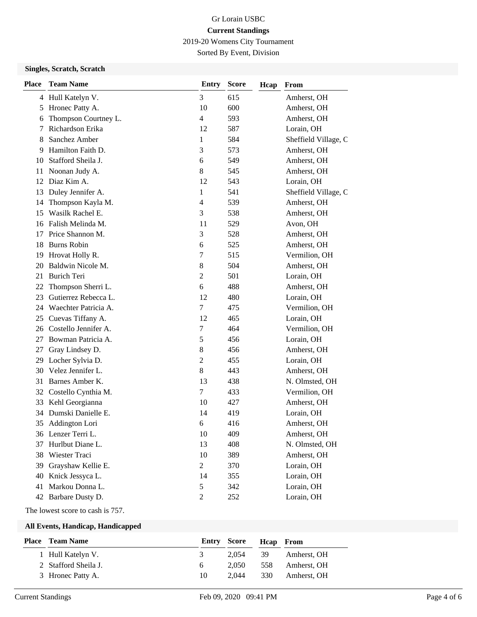2019-20 Womens City Tournament

Sorted By Event, Division

### **Singles, Scratch, Scratch**

| <b>Place</b> | <b>Team Name</b>     | <b>Entry</b>             | <b>Score</b> | Hcap | From                 |
|--------------|----------------------|--------------------------|--------------|------|----------------------|
|              | 4 Hull Katelyn V.    | 3                        | 615          |      | Amherst, OH          |
| 5            | Hronec Patty A.      | 10                       | 600          |      | Amherst, OH          |
| 6            | Thompson Courtney L. | $\overline{\mathcal{L}}$ | 593          |      | Amherst, OH          |
| 7            | Richardson Erika     | 12                       | 587          |      | Lorain, OH           |
| 8            | Sanchez Amber        | 1                        | 584          |      | Sheffield Village, C |
| 9            | Hamilton Faith D.    | 3                        | 573          |      | Amherst, OH          |
| 10           | Stafford Sheila J.   | 6                        | 549          |      | Amherst, OH          |
| 11           | Noonan Judy A.       | 8                        | 545          |      | Amherst, OH          |
| 12           | Diaz Kim A.          | 12                       | 543          |      | Lorain, OH           |
| 13           | Duley Jennifer A.    | 1                        | 541          |      | Sheffield Village, C |
| 14           | Thompson Kayla M.    | 4                        | 539          |      | Amherst, OH          |
| 15           | Wasilk Rachel E.     | 3                        | 538          |      | Amherst, OH          |
| 16           | Falish Melinda M.    | 11                       | 529          |      | Avon, OH             |
| 17           | Price Shannon M.     | 3                        | 528          |      | Amherst, OH          |
| 18           | <b>Burns Robin</b>   | 6                        | 525          |      | Amherst, OH          |
| 19           | Hrovat Holly R.      | 7                        | 515          |      | Vermilion, OH        |
| 20           | Baldwin Nicole M.    | 8                        | 504          |      | Amherst, OH          |
| 21           | <b>Burich Teri</b>   | $\overline{c}$           | 501          |      | Lorain, OH           |
| 22           | Thompson Sherri L.   | 6                        | 488          |      | Amherst, OH          |
| 23           | Gutierrez Rebecca L. | 12                       | 480          |      | Lorain, OH           |
| 24           | Waechter Patricia A. | 7                        | 475          |      | Vermilion, OH        |
| 25           | Cuevas Tiffany A.    | 12                       | 465          |      | Lorain, OH           |
| 26           | Costello Jennifer A. | 7                        | 464          |      | Vermilion, OH        |
| 27           | Bowman Patricia A.   | 5                        | 456          |      | Lorain, OH           |
| 27           | Gray Lindsey D.      | 8                        | 456          |      | Amherst, OH          |
| 29           | Locher Sylvia D.     | $\overline{c}$           | 455          |      | Lorain, OH           |
| 30           | Velez Jennifer L.    | 8                        | 443          |      | Amherst, OH          |
| 31           | Barnes Amber K.      | 13                       | 438          |      | N. Olmsted, OH       |
| 32           | Costello Cynthia M.  | 7                        | 433          |      | Vermilion, OH        |
| 33           | Kehl Georgianna      | 10                       | 427          |      | Amherst, OH          |
| 34           | Dumski Danielle E.   | 14                       | 419          |      | Lorain, OH           |
| 35           | Addington Lori       | 6                        | 416          |      | Amherst, OH          |
|              | 36 Lenzer Terri L.   | 10                       | 409          |      | Amherst, OH          |
| 37           | Hurlbut Diane L.     | 13                       | 408          |      | N. Olmsted, OH       |
| 38           | Wiester Traci        | 10                       | 389          |      | Amherst, OH          |
| 39           | Grayshaw Kellie E.   | $\overline{c}$           | 370          |      | Lorain, OH           |
| 40           | Knick Jessyca L.     | 14                       | 355          |      | Lorain, OH           |
| 41           | Markou Donna L.      | 5                        | 342          |      | Lorain, OH           |
| 42           | Barbare Dusty D.     | $\overline{c}$           | 252          |      | Lorain, OH           |

The lowest score to cash is 757.

#### **All Events, Handicap, Handicapped**

| <b>Place</b> Team Name |                | <b>Entry Score</b> | <b>Hcap</b> From |             |
|------------------------|----------------|--------------------|------------------|-------------|
| 1 Hull Katelyn V.      | $\mathfrak{I}$ | 2.054              | - 39             | Amherst, OH |
| 2 Stafford Sheila J.   | 6.             | 2.050              | 558              | Amherst. OH |
| 3 Hronec Patty A.      | 10             | 2.044              | 330              | Amherst, OH |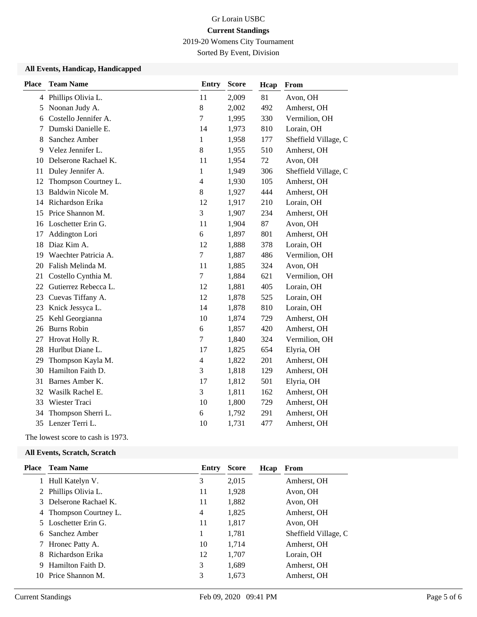2019-20 Womens City Tournament

Sorted By Event, Division

#### **All Events, Handicap, Handicapped**

| <b>Place</b> | <b>Team Name</b>     | <b>Entry</b>     | <b>Score</b> | Hcap | From                 |
|--------------|----------------------|------------------|--------------|------|----------------------|
|              | 4 Phillips Olivia L. | 11               | 2,009        | 81   | Avon, OH             |
| 5            | Noonan Judy A.       | $8\,$            | 2,002        | 492  | Amherst, OH          |
| 6            | Costello Jennifer A. | 7                | 1,995        | 330  | Vermilion, OH        |
| 7            | Dumski Danielle E.   | 14               | 1,973        | 810  | Lorain, OH           |
| 8            | Sanchez Amber        | 1                | 1,958        | 177  | Sheffield Village, C |
| 9            | Velez Jennifer L.    | 8                | 1,955        | 510  | Amherst, OH          |
| 10           | Delserone Rachael K. | 11               | 1,954        | 72   | Avon, OH             |
| 11           | Duley Jennifer A.    | $\mathbf{1}$     | 1,949        | 306  | Sheffield Village, C |
| 12           | Thompson Courtney L. | $\overline{4}$   | 1,930        | 105  | Amherst, OH          |
| 13           | Baldwin Nicole M.    | $8\,$            | 1,927        | 444  | Amherst, OH          |
| 14           | Richardson Erika     | 12               | 1,917        | 210  | Lorain, OH           |
| 15           | Price Shannon M.     | 3                | 1,907        | 234  | Amherst, OH          |
| 16           | Loschetter Erin G.   | 11               | 1,904        | 87   | Avon, OH             |
| 17           | Addington Lori       | 6                | 1,897        | 801  | Amherst, OH          |
| 18           | Diaz Kim A.          | 12               | 1,888        | 378  | Lorain, OH           |
| 19           | Waechter Patricia A. | $\tau$           | 1,887        | 486  | Vermilion, OH        |
| 20           | Falish Melinda M.    | 11               | 1,885        | 324  | Avon, OH             |
| 21           | Costello Cynthia M.  | 7                | 1,884        | 621  | Vermilion, OH        |
| 22           | Gutierrez Rebecca L. | 12               | 1,881        | 405  | Lorain, OH           |
| 23           | Cuevas Tiffany A.    | 12               | 1,878        | 525  | Lorain, OH           |
| 23           | Knick Jessyca L.     | 14               | 1,878        | 810  | Lorain, OH           |
| 25           | Kehl Georgianna      | 10               | 1,874        | 729  | Amherst, OH          |
| 26           | <b>Burns Robin</b>   | 6                | 1,857        | 420  | Amherst, OH          |
| 27           | Hrovat Holly R.      | $\boldsymbol{7}$ | 1,840        | 324  | Vermilion, OH        |
| 28           | Hurlbut Diane L.     | 17               | 1,825        | 654  | Elyria, OH           |
| 29           | Thompson Kayla M.    | $\overline{4}$   | 1,822        | 201  | Amherst, OH          |
| 30           | Hamilton Faith D.    | 3                | 1,818        | 129  | Amherst, OH          |
| 31           | Barnes Amber K.      | 17               | 1,812        | 501  | Elyria, OH           |
| 32           | Wasilk Rachel E.     | 3                | 1,811        | 162  | Amherst, OH          |
| 33           | Wiester Traci        | 10               | 1,800        | 729  | Amherst, OH          |
| 34           | Thompson Sherri L.   | 6                | 1,792        | 291  | Amherst, OH          |
| 35           | Lenzer Terri L.      | 10               | 1,731        | 477  | Amherst, OH          |

The lowest score to cash is 1973.

#### **All Events, Scratch, Scratch**

| Place | <b>Team Name</b>       | Entry | <b>Score</b> | Hcap | From                 |
|-------|------------------------|-------|--------------|------|----------------------|
|       | 1 Hull Katelyn V.      | 3     | 2,015        |      | Amherst, OH          |
|       | 2 Phillips Olivia L.   | 11    | 1,928        |      | Avon, OH             |
|       | 3 Delserone Rachael K. | 11    | 1,882        |      | Avon, OH             |
|       | 4 Thompson Courtney L. | 4     | 1,825        |      | Amherst, OH          |
|       | 5 Loschetter Erin G.   | 11    | 1,817        |      | Avon, OH             |
| 6.    | Sanchez Amber          | 1     | 1,781        |      | Sheffield Village, C |
|       | 7 Hronec Patty A.      | 10    | 1,714        |      | Amherst, OH          |
|       | 8 Richardson Erika     | 12    | 1,707        |      | Lorain, OH           |
| 9     | Hamilton Faith D.      | 3     | 1,689        |      | Amherst, OH          |
| 10    | Price Shannon M.       | 3     | 1,673        |      | Amherst, OH          |
|       |                        |       |              |      |                      |